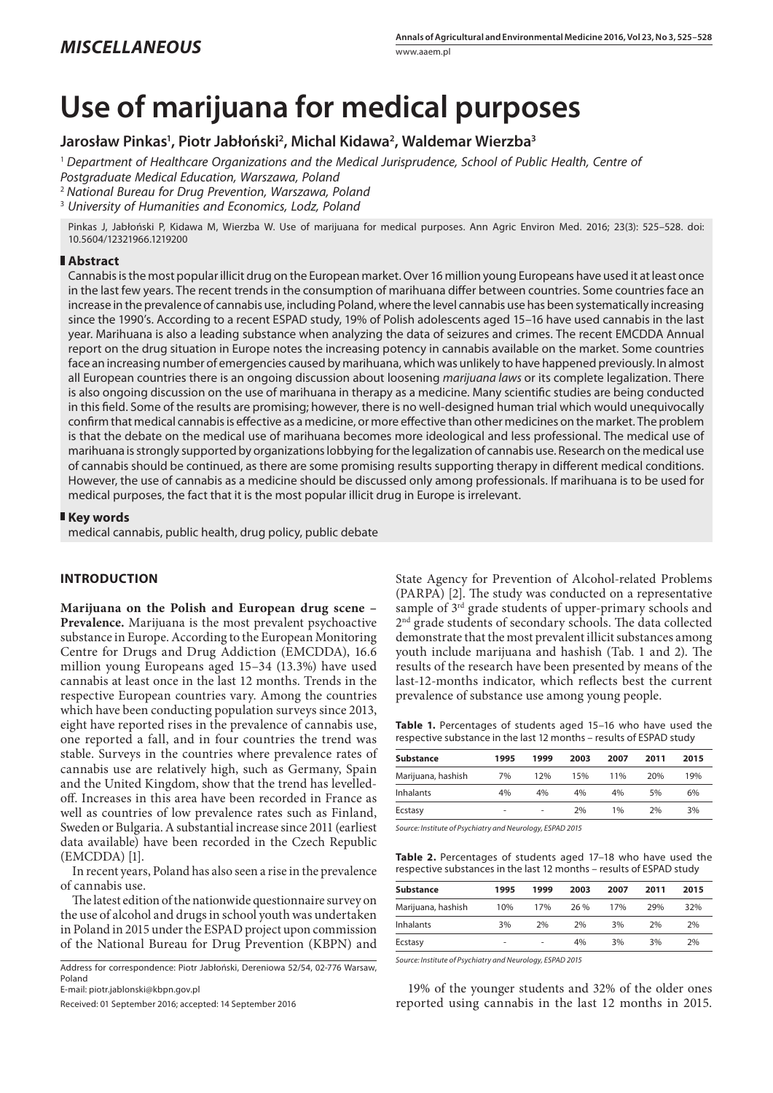# **Use of marijuana for medical purposes**

# **Jarosław Pinkas1 , Piotr Jabłoński2 , Michal Kidawa2 , Waldemar Wierzba3**

<sup>1</sup> *Department of Healthcare Organizations and the Medical Jurisprudence, School of Public Health, Centre of* 

*Postgraduate Medical Education, Warszawa, Poland*

<sup>2</sup> *National Bureau for Drug Prevention, Warszawa, Poland*

3  *University of Humanities and Economics, Lodz, Poland*

Pinkas J, Jabłoński P, Kidawa M, Wierzba W. Use of marijuana for medical purposes. Ann Agric Environ Med. 2016; 23(3): 525–528. doi: 10.5604/12321966.1219200

### **Abstract**

Cannabis is the most popular illicit drug on the European market. Over 16 million young Europeans have used it at least once in the last few years. The recent trends in the consumption of marihuana differ between countries. Some countries face an increase in the prevalence of cannabis use, including Poland, where the level cannabis use has been systematically increasing since the 1990's. According to a recent ESPAD study, 19% of Polish adolescents aged 15–16 have used cannabis in the last year. Marihuana is also a leading substance when analyzing the data of seizures and crimes. The recent EMCDDA Annual report on the drug situation in Europe notes the increasing potency in cannabis available on the market. Some countries face an increasing number of emergencies caused by marihuana, which was unlikely to have happened previously. In almost all European countries there is an ongoing discussion about loosening *marijuana laws* or its complete legalization. There is also ongoing discussion on the use of marihuana in therapy as a medicine. Many scientific studies are being conducted in this field. Some of the results are promising; however, there is no well-designed human trial which would unequivocally confirm that medical cannabis is effective as a medicine, or more effective than other medicines on the market. The problem is that the debate on the medical use of marihuana becomes more ideological and less professional. The medical use of marihuana is strongly supported by organizations lobbying for the legalization of cannabis use. Research on the medical use of cannabis should be continued, as there are some promising results supporting therapy in different medical conditions. However, the use of cannabis as a medicine should be discussed only among professionals. If marihuana is to be used for medical purposes, the fact that it is the most popular illicit drug in Europe is irrelevant.

#### **Key words**

medical cannabis, public health, drug policy, public debate

## **INTRODUCTION**

**Marijuana on the Polish and European drug scene – Prevalence.** Marijuana is the most prevalent psychoactive substance in Europe. According to the European Monitoring Centre for Drugs and Drug Addiction (EMCDDA), 16.6 million young Europeans aged 15–34 (13.3%) have used cannabis at least once in the last 12 months. Trends in the respective European countries vary. Among the countries which have been conducting population surveys since 2013, eight have reported rises in the prevalence of cannabis use, one reported a fall, and in four countries the trend was stable. Surveys in the countries where prevalence rates of cannabis use are relatively high, such as Germany, Spain and the United Kingdom, show that the trend has levelledoff. Increases in this area have been recorded in France as well as countries of low prevalence rates such as Finland, Sweden or Bulgaria. A substantial increase since 2011 (earliest data available) have been recorded in the Czech Republic (EMCDDA) [1].

In recent years, Poland has also seen a rise in the prevalence of cannabis use.

The latest edition of the nationwide questionnaire survey on the use of alcohol and drugs in school youth was undertaken in Poland in 2015 under the ESPAD project upon commission of the National Bureau for Drug Prevention (KBPN) and

Address for correspondence: Piotr Jabłoński, Dereniowa 52/54, 02-776 Warsaw, Poland

E-mail: piotr.jablonski@kbpn.gov.pl

Received: 01 September 2016; accepted: 14 September 2016

State Agency for Prevention of Alcohol-related Problems (PARPA) [2]. The study was conducted on a representative sample of 3rd grade students of upper-primary schools and 2nd grade students of secondary schools. The data collected demonstrate that the most prevalent illicit substances among youth include marijuana and hashish (Tab. 1 and 2). The results of the research have been presented by means of the last-12-months indicator, which reflects best the current prevalence of substance use among young people.

**Table 1.** Percentages of students aged 15–16 who have used the respective substance in the last 12 months – results of ESPAD study

| 1995                     | 1999 | 2003 | 2007 | 2011 | 2015 |
|--------------------------|------|------|------|------|------|
| 7%                       | 12%  | 15%  | 11%  | 20%  | 19%  |
| 4%                       | 4%   | 4%   | 4%   | 5%   | 6%   |
| $\overline{\phantom{a}}$ | ۰    | 2%   | 1%   | 2%   | 3%   |
|                          |      |      |      |      |      |

*Source: Institute of Psychiatry and Neurology, ESPAD 2015*

**Table 2.** Percentages of students aged 17–18 who have used the respective substances in the last 12 months – results of ESPAD study

| <b>Substance</b>   | 1995 | 1999 | 2003 | 2007 | 2011 | 2015 |
|--------------------|------|------|------|------|------|------|
| Marijuana, hashish | 10%  | 17%  | 26 % | 17%  | 29%  | 32%  |
| <b>Inhalants</b>   | 3%   | 2%   | 2%   | 3%   | 2%   | 2%   |
| Ecstasy            | ۰    | ۰    | 4%   | 3%   | 3%   | 2%   |

*Source: Institute of Psychiatry and Neurology, ESPAD 2015*

19% of the younger students and 32% of the older ones reported using cannabis in the last 12 months in 2015.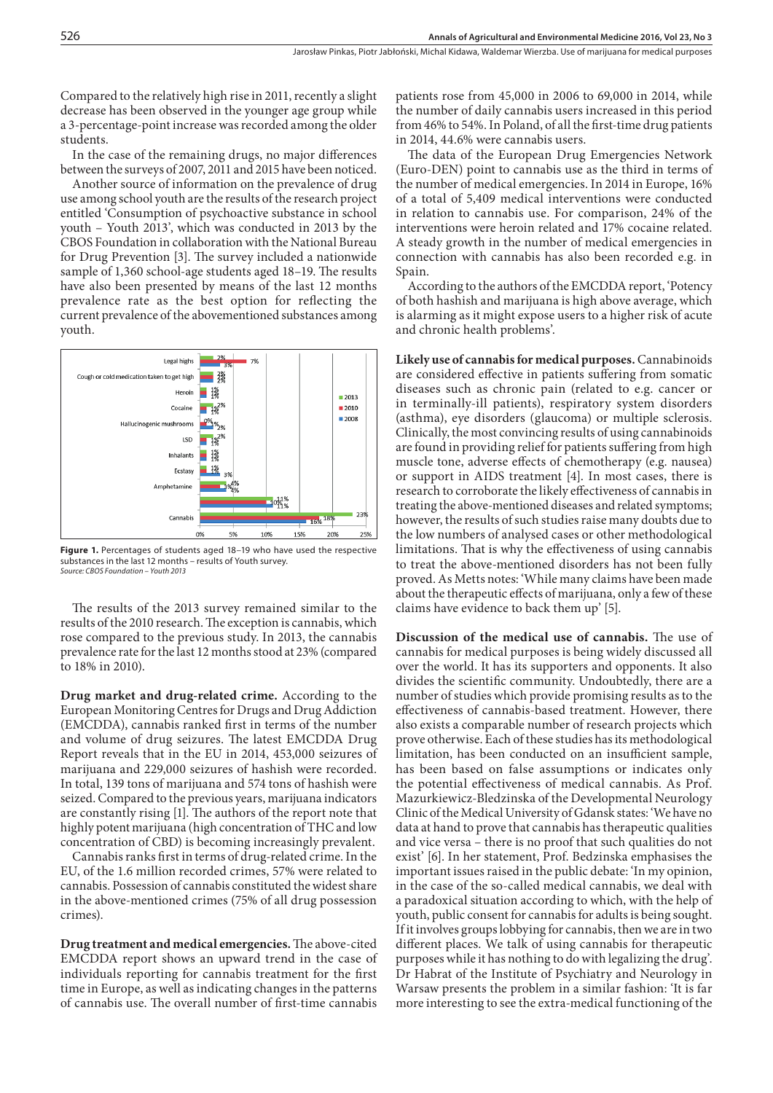526

Compared to the relatively high rise in 2011, recently a slight decrease has been observed in the younger age group while a 3-percentage-point increase was recorded among the older students.

In the case of the remaining drugs, no major differences between the surveys of 2007, 2011 and 2015 have been noticed.

Another source of information on the prevalence of drug use among school youth are the results of the research project entitled 'Consumption of psychoactive substance in school youth – Youth 2013', which was conducted in 2013 by the CBOS Foundation in collaboration with the National Bureau for Drug Prevention [3]. The survey included a nationwide sample of 1,360 school-age students aged 18–19. The results have also been presented by means of the last 12 months prevalence rate as the best option for reflecting the current prevalence of the abovementioned substances among youth.



**Figure 1.** Percentages of students aged 18–19 who have used the respective substances in the last 12 months – results of Youth survey. *Source: CBOS Foundation – Youth 2013*

The results of the 2013 survey remained similar to the results of the 2010 research. The exception is cannabis, which rose compared to the previous study. In 2013, the cannabis prevalence rate for the last 12 months stood at 23% (compared to 18% in 2010).

**Drug market and drug-related crime.** According to the European Monitoring Centres for Drugs and Drug Addiction (EMCDDA), cannabis ranked first in terms of the number and volume of drug seizures. The latest EMCDDA Drug Report reveals that in the EU in 2014, 453,000 seizures of marijuana and 229,000 seizures of hashish were recorded. In total, 139 tons of marijuana and 574 tons of hashish were seized. Compared to the previous years, marijuana indicators are constantly rising [1]. The authors of the report note that highly potent marijuana (high concentration of THC and low concentration of CBD) is becoming increasingly prevalent.

Cannabis ranks first in terms of drug-related crime. In the EU, of the 1.6 million recorded crimes, 57% were related to cannabis. Possession of cannabis constituted the widest share in the above-mentioned crimes (75% of all drug possession crimes).

**Drug treatment and medical emergencies.** The above-cited EMCDDA report shows an upward trend in the case of individuals reporting for cannabis treatment for the first time in Europe, as well as indicating changes in the patterns of cannabis use. The overall number of first-time cannabis

patients rose from 45,000 in 2006 to 69,000 in 2014, while the number of daily cannabis users increased in this period from 46% to 54%. In Poland, of all the first-time drug patients in 2014, 44.6% were cannabis users.

The data of the European Drug Emergencies Network (Euro-DEN) point to cannabis use as the third in terms of the number of medical emergencies. In 2014 in Europe, 16% of a total of 5,409 medical interventions were conducted in relation to cannabis use. For comparison, 24% of the interventions were heroin related and 17% cocaine related. A steady growth in the number of medical emergencies in connection with cannabis has also been recorded e.g. in Spain.

According to the authors of the EMCDDA report, 'Potency of both hashish and marijuana is high above average, which is alarming as it might expose users to a higher risk of acute and chronic health problems'.

**Likely use of cannabis for medical purposes.** Cannabinoids are considered effective in patients suffering from somatic diseases such as chronic pain (related to e.g. cancer or in terminally-ill patients), respiratory system disorders (asthma), eye disorders (glaucoma) or multiple sclerosis. Clinically, the most convincing results of using cannabinoids are found in providing relief for patients suffering from high muscle tone, adverse effects of chemotherapy (e.g. nausea) or support in AIDS treatment [4]. In most cases, there is research to corroborate the likely effectiveness of cannabis in treating the above-mentioned diseases and related symptoms; however, the results of such studies raise many doubts due to the low numbers of analysed cases or other methodological limitations. That is why the effectiveness of using cannabis to treat the above-mentioned disorders has not been fully proved. As Metts notes: 'While many claims have been made about the therapeutic effects of marijuana, only a few of these claims have evidence to back them up' [5].

**Discussion of the medical use of cannabis.** The use of cannabis for medical purposes is being widely discussed all over the world. It has its supporters and opponents. It also divides the scientific community. Undoubtedly, there are a number of studies which provide promising results as to the effectiveness of cannabis-based treatment. However, there also exists a comparable number of research projects which prove otherwise. Each of these studies has its methodological limitation, has been conducted on an insufficient sample, has been based on false assumptions or indicates only the potential effectiveness of medical cannabis. As Prof. Mazurkiewicz-Bledzinska of the Developmental Neurology Clinic of the Medical University of Gdansk states: 'We have no data at hand to prove that cannabis has therapeutic qualities and vice versa – there is no proof that such qualities do not exist' [6]. In her statement, Prof. Bedzinska emphasises the important issues raised in the public debate: 'In my opinion, in the case of the so-called medical cannabis, we deal with a paradoxical situation according to which, with the help of youth, public consent for cannabis for adults is being sought. If it involves groups lobbying for cannabis, then we are in two different places. We talk of using cannabis for therapeutic purposes while it has nothing to do with legalizing the drug'. Dr Habrat of the Institute of Psychiatry and Neurology in Warsaw presents the problem in a similar fashion: 'It is far more interesting to see the extra-medical functioning of the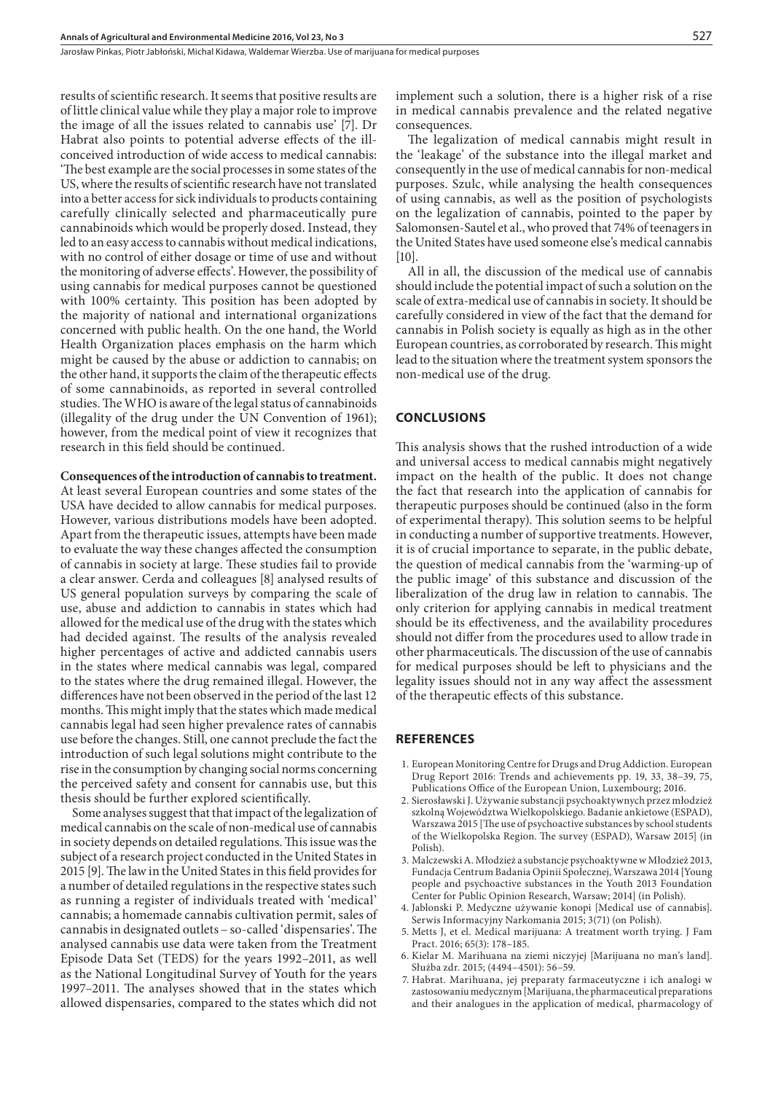Jarosław Pinkas, Piotr Jabłoński, Michal Kidawa, Waldemar Wierzba . Use of marijuana for medical purposes

results of scientific research. It seems that positive results are of little clinical value while they play a major role to improve the image of all the issues related to cannabis use' [7]. Dr Habrat also points to potential adverse effects of the illconceived introduction of wide access to medical cannabis: 'The best example are the social processes in some states of the US, where the results of scientific research have not translated into a better access for sick individuals to products containing carefully clinically selected and pharmaceutically pure cannabinoids which would be properly dosed. Instead, they led to an easy access to cannabis without medical indications, with no control of either dosage or time of use and without the monitoring of adverse effects'. However, the possibility of using cannabis for medical purposes cannot be questioned with 100% certainty. This position has been adopted by the majority of national and international organizations concerned with public health. On the one hand, the World Health Organization places emphasis on the harm which might be caused by the abuse or addiction to cannabis; on the other hand, it supports the claim of the therapeutic effects of some cannabinoids, as reported in several controlled studies. The WHO is aware of the legal status of cannabinoids (illegality of the drug under the UN Convention of 1961); however, from the medical point of view it recognizes that research in this field should be continued.

#### **Consequences of the introduction of cannabis to treatment.**

At least several European countries and some states of the USA have decided to allow cannabis for medical purposes. However, various distributions models have been adopted. Apart from the therapeutic issues, attempts have been made to evaluate the way these changes affected the consumption of cannabis in society at large. These studies fail to provide a clear answer. Cerda and colleagues [8] analysed results of US general population surveys by comparing the scale of use, abuse and addiction to cannabis in states which had allowed for the medical use of the drug with the states which had decided against. The results of the analysis revealed higher percentages of active and addicted cannabis users in the states where medical cannabis was legal, compared to the states where the drug remained illegal. However, the differences have not been observed in the period of the last 12 months. This might imply that the states which made medical cannabis legal had seen higher prevalence rates of cannabis use before the changes. Still, one cannot preclude the fact the introduction of such legal solutions might contribute to the rise in the consumption by changing social norms concerning the perceived safety and consent for cannabis use, but this thesis should be further explored scientifically.

Some analyses suggest that that impact of the legalization of medical cannabis on the scale of non-medical use of cannabis in society depends on detailed regulations. This issue was the subject of a research project conducted in the United States in 2015 [9]. The law in the United States in this field provides for a number of detailed regulations in the respective states such as running a register of individuals treated with 'medical' cannabis; a homemade cannabis cultivation permit, sales of cannabis in designated outlets – so-called 'dispensaries'. The analysed cannabis use data were taken from the Treatment Episode Data Set (TEDS) for the years 1992–2011, as well as the National Longitudinal Survey of Youth for the years 1997–2011. The analyses showed that in the states which allowed dispensaries, compared to the states which did not

implement such a solution, there is a higher risk of a rise in medical cannabis prevalence and the related negative consequences.

The legalization of medical cannabis might result in the 'leakage' of the substance into the illegal market and consequently in the use of medical cannabis for non-medical purposes. Szulc, while analysing the health consequences of using cannabis, as well as the position of psychologists on the legalization of cannabis, pointed to the paper by Salomonsen-Sautel et al., who proved that 74% of teenagers in the United States have used someone else's medical cannabis [10].

All in all, the discussion of the medical use of cannabis should include the potential impact of such a solution on the scale of extra-medical use of cannabis in society. It should be carefully considered in view of the fact that the demand for cannabis in Polish society is equally as high as in the other European countries, as corroborated by research. This might lead to the situation where the treatment system sponsors the non-medical use of the drug.

#### **Conclusions**

This analysis shows that the rushed introduction of a wide and universal access to medical cannabis might negatively impact on the health of the public. It does not change the fact that research into the application of cannabis for therapeutic purposes should be continued (also in the form of experimental therapy). This solution seems to be helpful in conducting a number of supportive treatments. However, it is of crucial importance to separate, in the public debate, the question of medical cannabis from the 'warming-up of the public image' of this substance and discussion of the liberalization of the drug law in relation to cannabis. The only criterion for applying cannabis in medical treatment should be its effectiveness, and the availability procedures should not differ from the procedures used to allow trade in other pharmaceuticals. The discussion of the use of cannabis for medical purposes should be left to physicians and the legality issues should not in any way affect the assessment of the therapeutic effects of this substance.

#### **References**

- 1. European Monitoring Centre for Drugs and Drug Addiction. European Drug Report 2016: Trends and achievements pp. 19, 33, 38–39, 75, Publications Office of the European Union, Luxembourg; 2016.
- 2. Sierosławski J. Używanie substancji psychoaktywnych przez młodzież szkolną Województwa Wielkopolskiego. Badanie ankietowe (ESPAD), Warszawa 2015 [The use of psychoactive substances by school students of the Wielkopolska Region. The survey (ESPAD), Warsaw 2015] (in Polish).
- 3. Malczewski A. Młodzież a substancje psychoaktywne w Młodzież 2013, Fundacja Centrum Badania Opinii Społecznej, Warszawa 2014 [Young people and psychoactive substances in the Youth 2013 Foundation Center for Public Opinion Research, Warsaw; 2014] (in Polish).
- 4. Jablonski P. Medyczne używanie konopi [Medical use of cannabis]. Serwis Informacyjny Narkomania 2015; 3(71) (on Polish).
- 5. Metts J, et el. Medical marijuana: A treatment worth trying. J Fam Pract. 2016; 65(3): 178–185.
- 6. Kielar M. Marihuana na ziemi niczyjej [Marijuana no man's land]. Służba zdr. 2015; (4494–4501): 56–59.
- 7. Habrat. Marihuana, jej preparaty farmaceutyczne i ich analogi w zastosowaniu medycznym [Marijuana, the pharmaceutical preparations and their analogues in the application of medical, pharmacology of